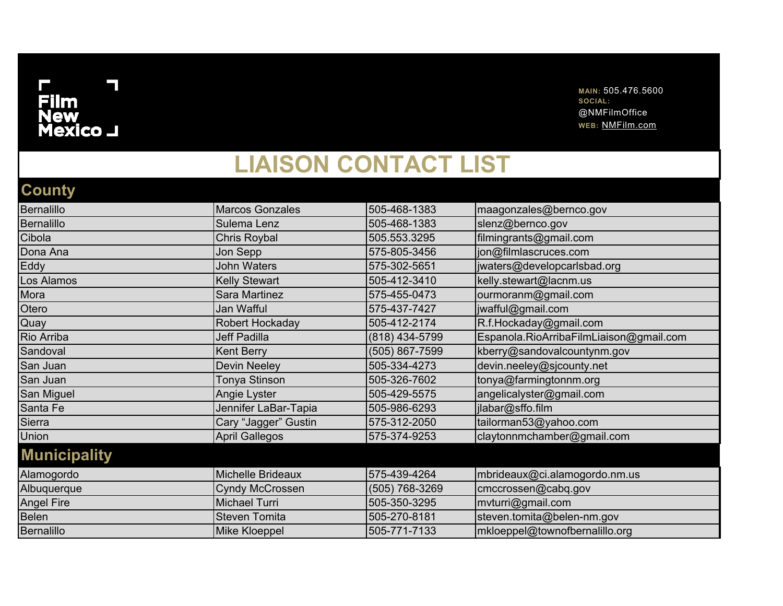## ۰  $\mathbf \Gamma$ .<br>Film<br>New<br>Mexico \_I

**MAIN:** 505.476.5600 **SOCIAL:**  @NMFilmOffice **WEB:** NMFilm.com

## **LIAISON CONTACT LIST**

## **County**

| <b>Bernalillo</b>   | <b>Marcos Gonzales</b>   | 505-468-1383   | maagonzales@bernco.gov                  |
|---------------------|--------------------------|----------------|-----------------------------------------|
| <b>Bernalillo</b>   | Sulema Lenz              | 505-468-1383   | slenz@bernco.gov                        |
| Cibola              | Chris Roybal             | 505.553.3295   | filmingrants@gmail.com                  |
| Dona Ana            | Jon Sepp                 | 575-805-3456   | jon@filmlascruces.com                   |
| Eddy                | <b>John Waters</b>       | 575-302-5651   | jwaters@developcarlsbad.org             |
| Los Alamos          | <b>Kelly Stewart</b>     | 505-412-3410   | kelly.stewart@lacnm.us                  |
| Mora                | Sara Martinez            | 575-455-0473   | ourmoranm@gmail.com                     |
| Otero               | Jan Wafful               | 575-437-7427   | jwafful@gmail.com                       |
| Quay                | Robert Hockaday          | 505-412-2174   | R.f.Hockaday@gmail.com                  |
| Rio Arriba          | Jeff Padilla             | (818) 434-5799 | Espanola.RioArribaFilmLiaison@gmail.com |
| Sandoval            | <b>Kent Berry</b>        | (505) 867-7599 | kberry@sandovalcountynm.gov             |
| San Juan            | <b>Devin Neeley</b>      | 505-334-4273   | devin.neeley@sjcounty.net               |
| San Juan            | Tonya Stinson            | 505-326-7602   | tonya@farmingtonnm.org                  |
| San Miguel          | Angie Lyster             | 505-429-5575   | angelicalyster@gmail.com                |
| Santa Fe            | Jennifer LaBar-Tapia     | 505-986-6293   | jlabar@sffo.film                        |
| Sierra              | Cary "Jagger" Gustin     | 575-312-2050   | tailorman53@yahoo.com                   |
| Union               | <b>April Gallegos</b>    | 575-374-9253   | claytonnmchamber@gmail.com              |
| <b>Municipality</b> |                          |                |                                         |
| Alamogordo          | <b>Michelle Brideaux</b> | 575-439-4264   | mbrideaux@ci.alamogordo.nm.us           |
| Albuquerque         | <b>Cyndy McCrossen</b>   | (505) 768-3269 | cmccrossen@cabq.gov                     |
| <b>Angel Fire</b>   | <b>Michael Turri</b>     | 505-350-3295   | mvturri@gmail.com                       |
| <b>Belen</b>        | <b>Steven Tomita</b>     | 505-270-8181   | steven.tomita@belen-nm.gov              |
| <b>Bernalillo</b>   | Mike Kloeppel            | 505-771-7133   | mkloeppel@townofbernalillo.org          |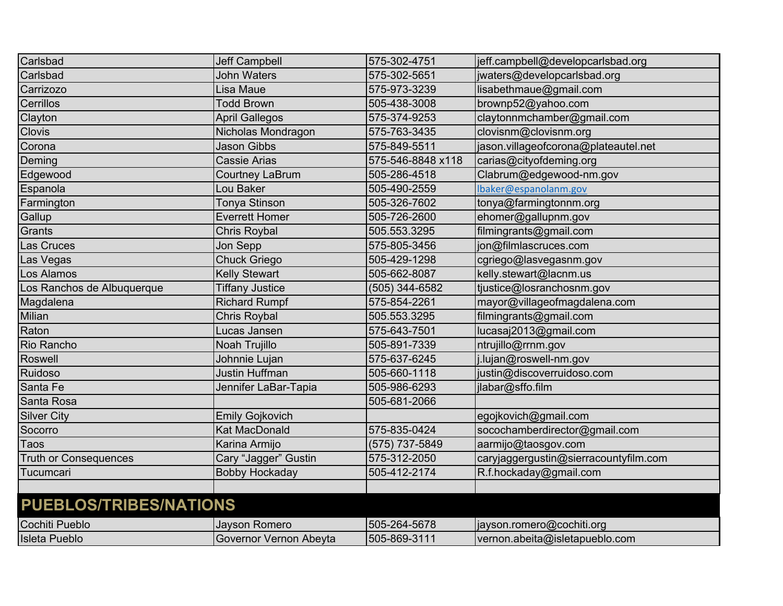| Carlsbad                      | <b>Jeff Campbell</b>   | 575-302-4751      | jeff.campbell@developcarlsbad.org     |
|-------------------------------|------------------------|-------------------|---------------------------------------|
| Carlsbad                      | <b>John Waters</b>     | 575-302-5651      | jwaters@developcarlsbad.org           |
| Carrizozo                     | Lisa Maue              | 575-973-3239      | lisabethmaue@gmail.com                |
| Cerrillos                     | <b>Todd Brown</b>      | 505-438-3008      | brownp52@yahoo.com                    |
| Clayton                       | <b>April Gallegos</b>  | 575-374-9253      | claytonnmchamber@gmail.com            |
| <b>Clovis</b>                 | Nicholas Mondragon     | 575-763-3435      | clovisnm@clovisnm.org                 |
| Corona                        | <b>Jason Gibbs</b>     | 575-849-5511      | jason.villageofcorona@plateautel.net  |
| Deming                        | <b>Cassie Arias</b>    | 575-546-8848 x118 | carias@cityofdeming.org               |
| Edgewood                      | <b>Courtney LaBrum</b> | 505-286-4518      | Clabrum@edgewood-nm.gov               |
| Espanola                      | Lou Baker              | 505-490-2559      | lbaker@espanolanm.gov                 |
| Farmington                    | <b>Tonya Stinson</b>   | 505-326-7602      | tonya@farmingtonnm.org                |
| Gallup                        | <b>Everrett Homer</b>  | 505-726-2600      | ehomer@gallupnm.gov                   |
| Grants                        | <b>Chris Roybal</b>    | 505.553.3295      | filmingrants@gmail.com                |
| Las Cruces                    | Jon Sepp               | 575-805-3456      | jon@filmlascruces.com                 |
| Las Vegas                     | <b>Chuck Griego</b>    | 505-429-1298      | cgriego@lasvegasnm.gov                |
| Los Alamos                    | <b>Kelly Stewart</b>   | 505-662-8087      | kelly.stewart@lacnm.us                |
| Los Ranchos de Albuquerque    | <b>Tiffany Justice</b> | (505) 344-6582    | tjustice@losranchosnm.gov             |
| Magdalena                     | <b>Richard Rumpf</b>   | 575-854-2261      | mayor@villageofmagdalena.com          |
| Milian                        | <b>Chris Roybal</b>    | 505.553.3295      | filmingrants@gmail.com                |
| Raton                         | Lucas Jansen           | 575-643-7501      | lucasaj2013@gmail.com                 |
| Rio Rancho                    | Noah Trujillo          | 505-891-7339      | ntrujillo@rrnm.gov                    |
| Roswell                       | Johnnie Lujan          | 575-637-6245      | j.lujan@roswell-nm.gov                |
| Ruidoso                       | <b>Justin Huffman</b>  | 505-660-1118      | justin@discoverruidoso.com            |
| Santa Fe                      | Jennifer LaBar-Tapia   | 505-986-6293      | jlabar@sffo.film                      |
| Santa Rosa                    |                        | 505-681-2066      |                                       |
| <b>Silver City</b>            | <b>Emily Gojkovich</b> |                   | egojkovich@gmail.com                  |
| Socorro                       | <b>Kat MacDonald</b>   | 575-835-0424      | socochamberdirector@gmail.com         |
| Taos                          | Karina Armijo          | (575) 737-5849    | aarmijo@taosgov.com                   |
| <b>Truth or Consequences</b>  | Cary "Jagger" Gustin   | 575-312-2050      | caryjaggergustin@sierracountyfilm.com |
| Tucumcari                     | <b>Bobby Hockaday</b>  | 505-412-2174      | R.f.hockaday@gmail.com                |
|                               |                        |                   |                                       |
| <b>PUEBLOS/TRIBES/NATIONS</b> |                        |                   |                                       |
| Cochiti Pueblo                | Jayson Romero          | 505-264-5678      | jayson.romero@cochiti.org             |
| <b>Isleta Pueblo</b>          | Governor Vernon Abeyta | 505-869-3111      | vernon.abeita@isletapueblo.com        |